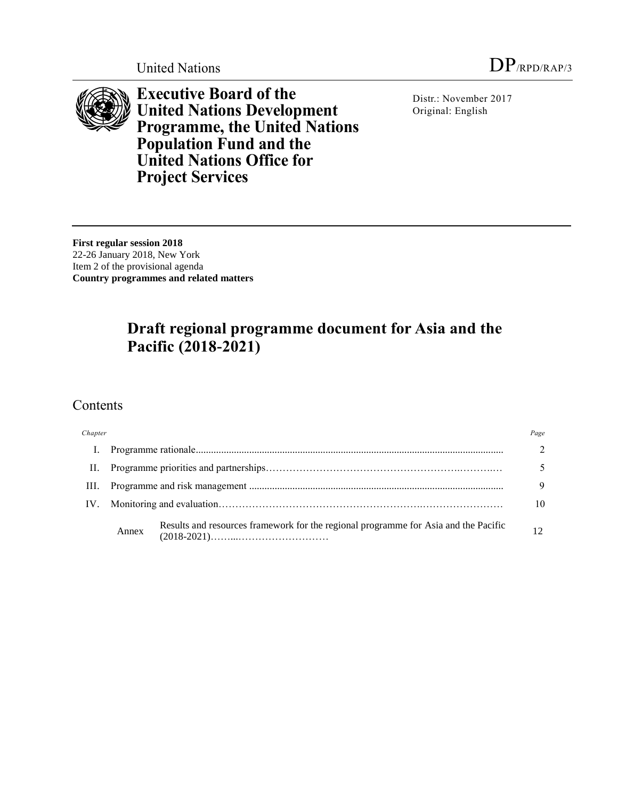

**Executive Board of the United Nations Development Programme, the United Nations Population Fund and the United Nations Office for Project Services**

Distr.: November 2017 Original: English

**First regular session 2018**

22-26 January 2018, New York Item 2 of the provisional agenda **Country programmes and related matters**

# **Draft regional programme document for Asia and the Pacific (2018-2021)**

# Contents

| Chapter |       |                                                                                     | Page |
|---------|-------|-------------------------------------------------------------------------------------|------|
| L.      |       |                                                                                     |      |
| H.      |       |                                                                                     |      |
| III.    |       |                                                                                     | 9    |
| IV.     |       |                                                                                     | 10   |
|         | Annex | Results and resources framework for the regional programme for Asia and the Pacific | 12   |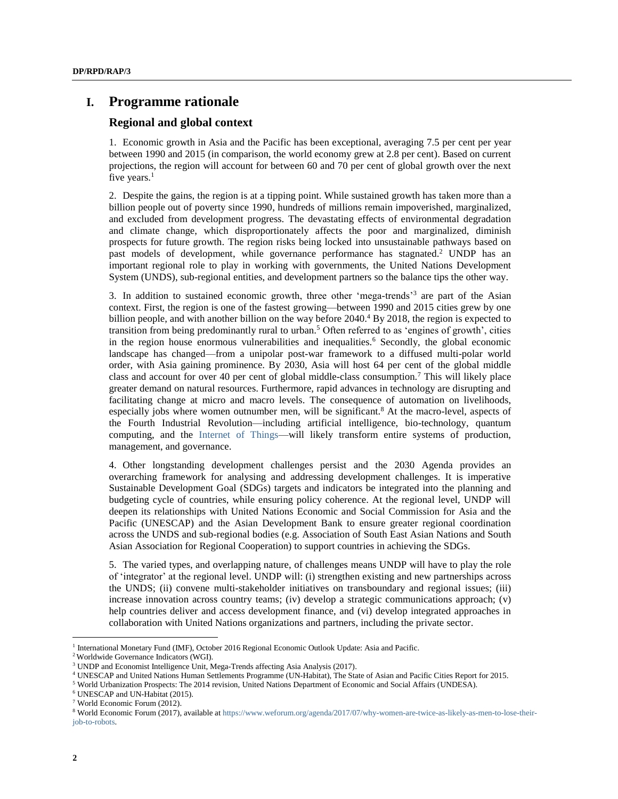# **I. Programme rationale**

#### **Regional and global context**

1. Economic growth in Asia and the Pacific has been exceptional, averaging 7.5 per cent per year between 1990 and 2015 (in comparison, the world economy grew at 2.8 per cent). Based on current projections, the region will account for between 60 and 70 per cent of global growth over the next five years.<sup>1</sup>

2. Despite the gains, the region is at a tipping point. While sustained growth has taken more than a billion people out of poverty since 1990, hundreds of millions remain impoverished, marginalized, and excluded from development progress. The devastating effects of environmental degradation and climate change, which disproportionately affects the poor and marginalized, diminish prospects for future growth. The region risks being locked into unsustainable pathways based on past models of development, while governance performance has stagnated.<sup>2</sup> UNDP has an important regional role to play in working with governments, the United Nations Development System (UNDS), sub-regional entities, and development partners so the balance tips the other way.

3. In addition to sustained economic growth, three other 'mega-trends'<sup>3</sup> are part of the Asian context. First, the region is one of the fastest growing—between 1990 and 2015 cities grew by one billion people, and with another billion on the way before 2040.<sup>4</sup> By 2018, the region is expected to transition from being predominantly rural to urban.<sup>5</sup> Often referred to as 'engines of growth', cities in the region house enormous vulnerabilities and inequalities.<sup>6</sup> Secondly, the global economic landscape has changed—from a unipolar post-war framework to a diffused multi-polar world order, with Asia gaining prominence. By 2030, Asia will host 64 per cent of the global middle class and account for over 40 per cent of global middle-class consumption.<sup>7</sup> This will likely place greater demand on natural resources. Furthermore, rapid advances in technology are disrupting and facilitating change at micro and macro levels. The consequence of automation on livelihoods, especially jobs where women outnumber men, will be significant.<sup>8</sup> At the macro-level, aspects of the Fourth Industrial Revolution—including artificial intelligence, bio-technology, quantum computing, and the [Internet of Things—](https://en.wikipedia.org/wiki/Internet_of_things)will likely transform entire systems of production, management, and governance.

4. Other longstanding development challenges persist and the 2030 Agenda provides an overarching framework for analysing and addressing development challenges. It is imperative Sustainable Development Goal (SDGs) targets and indicators be integrated into the planning and budgeting cycle of countries, while ensuring policy coherence. At the regional level, UNDP will deepen its relationships with United Nations Economic and Social Commission for Asia and the Pacific (UNESCAP) and the Asian Development Bank to ensure greater regional coordination across the UNDS and sub-regional bodies (e.g. Association of South East Asian Nations and South Asian Association for Regional Cooperation) to support countries in achieving the SDGs.

5. The varied types, and overlapping nature, of challenges means UNDP will have to play the role of 'integrator' at the regional level. UNDP will: (i) strengthen existing and new partnerships across the UNDS; (ii) convene multi-stakeholder initiatives on transboundary and regional issues; (iii) increase innovation across country teams; (iv) develop a strategic communications approach; (v) help countries deliver and access development finance, and (vi) develop integrated approaches in collaboration with United Nations organizations and partners, including the private sector.

<sup>&</sup>lt;sup>1</sup> International Monetary Fund (IMF), October 2016 Regional Economic Outlook Update: Asia and Pacific.

<sup>2</sup> Worldwide Governance Indicators (WGI).

<sup>&</sup>lt;sup>3</sup> UNDP and Economist Intelligence Unit, Mega-Trends affecting Asia Analysis (2017).

<sup>4</sup> UNESCAP and United Nations Human Settlements Programme (UN-Habitat), The State of Asian and Pacific Cities Report for 2015.

<sup>5</sup> World Urbanization Prospects: The 2014 revision, United Nations Department of Economic and Social Affairs (UNDESA).

<sup>6</sup> UNESCAP and UN-Habitat (2015).

<sup>7</sup> World Economic Forum (2012).

<sup>8</sup> World Economic Forum (2017), available a[t https://www.weforum.org/agenda/2017/07/why-women-are-twice-as-likely-as-men-to-lose-their](https://www.weforum.org/agenda/2017/07/why-women-are-twice-as-likely-as-men-to-lose-their-job-to-robots)[job-to-robots.](https://www.weforum.org/agenda/2017/07/why-women-are-twice-as-likely-as-men-to-lose-their-job-to-robots)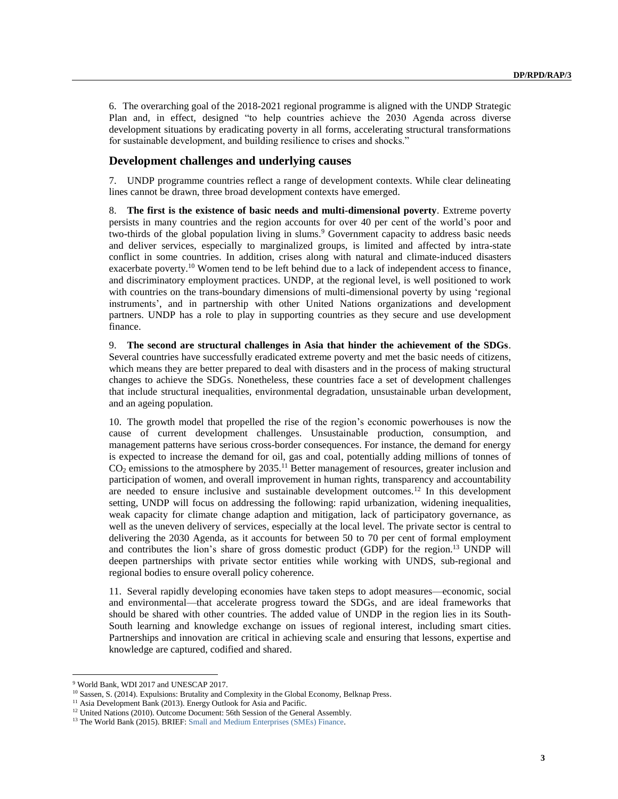6. The overarching goal of the 2018-2021 regional programme is aligned with the UNDP Strategic Plan and, in effect, designed "to help countries achieve the 2030 Agenda across diverse development situations by eradicating poverty in all forms, accelerating structural transformations for sustainable development, and building resilience to crises and shocks."

### **Development challenges and underlying causes**

7. UNDP programme countries reflect a range of development contexts. While clear delineating lines cannot be drawn, three broad development contexts have emerged.

8. **The first is the existence of basic needs and multi-dimensional poverty**. Extreme poverty persists in many countries and the region accounts for over 40 per cent of the world's poor and two-thirds of the global population living in slums. <sup>9</sup> Government capacity to address basic needs and deliver services, especially to marginalized groups, is limited and affected by intra-state conflict in some countries. In addition, crises along with natural and climate-induced disasters exacerbate poverty.<sup>10</sup> Women tend to be left behind due to a lack of independent access to finance, and discriminatory employment practices. UNDP, at the regional level, is well positioned to work with countries on the trans-boundary dimensions of multi-dimensional poverty by using 'regional instruments', and in partnership with other United Nations organizations and development partners. UNDP has a role to play in supporting countries as they secure and use development finance.

9. **The second are structural challenges in Asia that hinder the achievement of the SDGs**. Several countries have successfully eradicated extreme poverty and met the basic needs of citizens, which means they are better prepared to deal with disasters and in the process of making structural changes to achieve the SDGs. Nonetheless, these countries face a set of development challenges that include structural inequalities, environmental degradation, unsustainable urban development, and an ageing population.

10. The growth model that propelled the rise of the region's economic powerhouses is now the cause of current development challenges. Unsustainable production, consumption, and management patterns have serious cross-border consequences. For instance, the demand for energy is expected to increase the demand for oil, gas and coal, potentially adding millions of tonnes of  $CO<sub>2</sub>$  emissions to the atmosphere by 2035.<sup>11</sup> Better management of resources, greater inclusion and participation of women, and overall improvement in human rights, transparency and accountability are needed to ensure inclusive and sustainable development outcomes.<sup>12</sup> In this development setting, UNDP will focus on addressing the following: rapid urbanization, widening inequalities, weak capacity for climate change adaption and mitigation, lack of participatory governance, as well as the uneven delivery of services, especially at the local level. The private sector is central to delivering the 2030 Agenda, as it accounts for between 50 to 70 per cent of formal employment and contributes the lion's share of gross domestic product (GDP) for the region. <sup>13</sup> UNDP will deepen partnerships with private sector entities while working with UNDS, sub-regional and regional bodies to ensure overall policy coherence.

11. Several rapidly developing economies have taken steps to adopt measures—economic, social and environmental—that accelerate progress toward the SDGs, and are ideal frameworks that should be shared with other countries. The added value of UNDP in the region lies in its South-South learning and knowledge exchange on issues of regional interest, including smart cities. Partnerships and innovation are critical in achieving scale and ensuring that lessons, expertise and knowledge are captured, codified and shared.

<sup>9</sup> World Bank, WDI 2017 and UNESCAP 2017.

<sup>&</sup>lt;sup>10</sup> Sassen, S. (2014). Expulsions: Brutality and Complexity in the Global Economy, Belknap Press.

<sup>&</sup>lt;sup>11</sup> Asia Development Bank (2013). Energy Outlook for Asia and Pacific.

<sup>&</sup>lt;sup>12</sup> United Nations (2010). Outcome Document: 56th Session of the General Assembly.

<sup>&</sup>lt;sup>13</sup> The World Bank (2015). BRIEF: Small and Medium Enterprises (SMEs) Finance.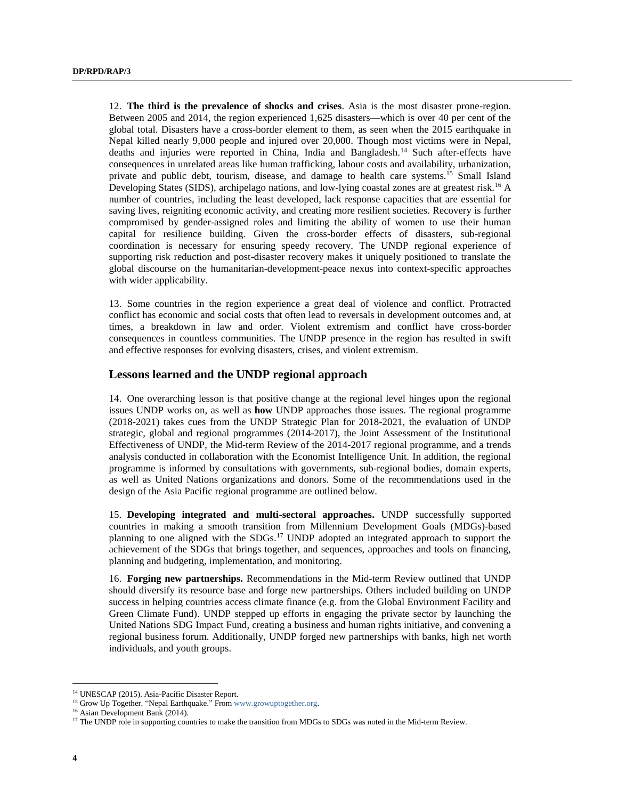12. **The third is the prevalence of shocks and crises**. Asia is the most disaster prone-region. Between 2005 and 2014, the region experienced 1,625 disasters—which is over 40 per cent of the global total. Disasters have a cross-border element to them, as seen when the 2015 earthquake in Nepal killed nearly 9,000 people and injured over 20,000. Though most victims were in Nepal, deaths and injuries were reported in China, India and Bangladesh.<sup>14</sup> Such after-effects have consequences in unrelated areas like human trafficking, labour costs and availability, urbanization, private and public debt, tourism, disease, and damage to health care systems.<sup>15</sup> Small Island Developing States (SIDS), archipelago nations, and low-lying coastal zones are at greatest risk.<sup>16</sup> A number of countries, including the least developed, lack response capacities that are essential for saving lives, reigniting economic activity, and creating more resilient societies. Recovery is further compromised by gender-assigned roles and limiting the ability of women to use their human capital for resilience building. Given the cross-border effects of disasters, sub-regional coordination is necessary for ensuring speedy recovery. The UNDP regional experience of supporting risk reduction and post-disaster recovery makes it uniquely positioned to translate the global discourse on the humanitarian-development-peace nexus into context-specific approaches with wider applicability.

13. Some countries in the region experience a great deal of violence and conflict. Protracted conflict has economic and social costs that often lead to reversals in development outcomes and, at times, a breakdown in law and order. Violent extremism and conflict have cross-border consequences in countless communities. The UNDP presence in the region has resulted in swift and effective responses for evolving disasters, crises, and violent extremism.

#### **Lessons learned and the UNDP regional approach**

14. One overarching lesson is that positive change at the regional level hinges upon the regional issues UNDP works on, as well as **how** UNDP approaches those issues. The regional programme (2018-2021) takes cues from the UNDP Strategic Plan for 2018-2021, the evaluation of UNDP strategic, global and regional programmes (2014-2017), the Joint Assessment of the Institutional Effectiveness of UNDP, the Mid-term Review of the 2014-2017 regional programme, and a trends analysis conducted in collaboration with the Economist Intelligence Unit. In addition, the regional programme is informed by consultations with governments, sub-regional bodies, domain experts, as well as United Nations organizations and donors. Some of the recommendations used in the design of the Asia Pacific regional programme are outlined below.

15. **Developing integrated and multi-sectoral approaches.** UNDP successfully supported countries in making a smooth transition from Millennium Development Goals (MDGs)-based planning to one aligned with the SDGs.<sup>17</sup> UNDP adopted an integrated approach to support the achievement of the SDGs that brings together, and sequences, approaches and tools on financing, planning and budgeting, implementation, and monitoring.

16. **Forging new partnerships.** Recommendations in the Mid-term Review outlined that UNDP should diversify its resource base and forge new partnerships. Others included building on UNDP success in helping countries access climate finance (e.g. from the Global Environment Facility and Green Climate Fund). UNDP stepped up efforts in engaging the private sector by launching the United Nations SDG Impact Fund, creating a business and human rights initiative, and convening a regional business forum. Additionally, UNDP forged new partnerships with banks, high net worth individuals, and youth groups.

<sup>&</sup>lt;sup>14</sup> UNESCAP (2015). Asia-Pacific Disaster Report.

<sup>&</sup>lt;sup>15</sup> Grow Up Together. "Nepal Earthquake." From [www.growuptogether.org.](http://www.growuptogether.org/)

<sup>16</sup> Asian Development Bank (2014).

<sup>&</sup>lt;sup>17</sup> The UNDP role in supporting countries to make the transition from MDGs to SDGs was noted in the Mid-term Review.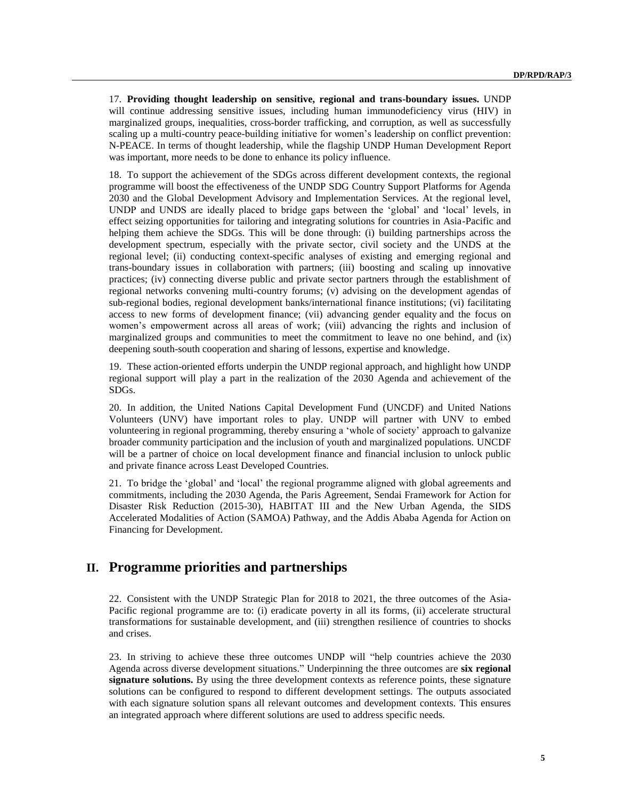17. **Providing thought leadership on sensitive, regional and trans-boundary issues.** UNDP will continue addressing sensitive issues, including human immunodeficiency virus (HIV) in marginalized groups, inequalities, cross-border trafficking, and corruption, as well as successfully scaling up a multi-country peace-building initiative for women's leadership on conflict prevention: N-PEACE. In terms of thought leadership, while the flagship UNDP Human Development Report was important, more needs to be done to enhance its policy influence.

18. To support the achievement of the SDGs across different development contexts, the regional programme will boost the effectiveness of the UNDP SDG Country Support Platforms for Agenda 2030 and the Global Development Advisory and Implementation Services. At the regional level, UNDP and UNDS are ideally placed to bridge gaps between the 'global' and 'local' levels, in effect seizing opportunities for tailoring and integrating solutions for countries in Asia-Pacific and helping them achieve the SDGs. This will be done through: (i) building partnerships across the development spectrum, especially with the private sector, civil society and the UNDS at the regional level; (ii) conducting context-specific analyses of existing and emerging regional and trans-boundary issues in collaboration with partners; (iii) boosting and scaling up innovative practices; (iv) connecting diverse public and private sector partners through the establishment of regional networks convening multi-country forums; (v) advising on the development agendas of sub-regional bodies, regional development banks/international finance institutions; (vi) facilitating access to new forms of development finance; (vii) advancing gender equality and the focus on women's empowerment across all areas of work; (viii) advancing the rights and inclusion of marginalized groups and communities to meet the commitment to leave no one behind, and (ix) deepening south-south cooperation and sharing of lessons, expertise and knowledge.

19. These action-oriented efforts underpin the UNDP regional approach, and highlight how UNDP regional support will play a part in the realization of the 2030 Agenda and achievement of the SDGs.

20. In addition, the United Nations Capital Development Fund (UNCDF) and United Nations Volunteers (UNV) have important roles to play. UNDP will partner with UNV to embed volunteering in regional programming, thereby ensuring a 'whole of society' approach to galvanize broader community participation and the inclusion of youth and marginalized populations. UNCDF will be a partner of choice on local development finance and financial inclusion to unlock public and private finance across Least Developed Countries.

21. To bridge the 'global' and 'local' the regional programme aligned with global agreements and commitments, including the 2030 Agenda, the Paris Agreement, Sendai Framework for Action for Disaster Risk Reduction (2015-30), HABITAT III and the New Urban Agenda, the SIDS Accelerated Modalities of Action (SAMOA) Pathway, and the Addis Ababa Agenda for Action on Financing for Development.

# **II. Programme priorities and partnerships**

22. Consistent with the UNDP Strategic Plan for 2018 to 2021, the three outcomes of the Asia-Pacific regional programme are to: (i) eradicate poverty in all its forms, (ii) accelerate structural transformations for sustainable development, and (iii) strengthen resilience of countries to shocks and crises.

23. In striving to achieve these three outcomes UNDP will "help countries achieve the 2030 Agenda across diverse development situations." Underpinning the three outcomes are **six regional signature solutions.** By using the three development contexts as reference points, these signature solutions can be configured to respond to different development settings. The outputs associated with each signature solution spans all relevant outcomes and development contexts. This ensures an integrated approach where different solutions are used to address specific needs.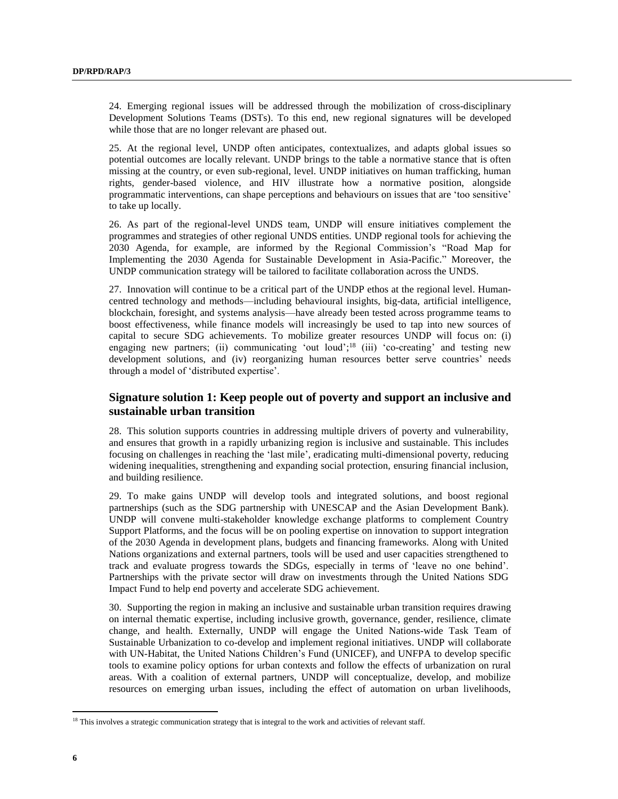24. Emerging regional issues will be addressed through the mobilization of cross-disciplinary Development Solutions Teams (DSTs). To this end, new regional signatures will be developed while those that are no longer relevant are phased out.

25. At the regional level, UNDP often anticipates, contextualizes, and adapts global issues so potential outcomes are locally relevant. UNDP brings to the table a normative stance that is often missing at the country, or even sub-regional, level. UNDP initiatives on human trafficking, human rights, gender-based violence, and HIV illustrate how a normative position, alongside programmatic interventions, can shape perceptions and behaviours on issues that are 'too sensitive' to take up locally.

26. As part of the regional-level UNDS team, UNDP will ensure initiatives complement the programmes and strategies of other regional UNDS entities. UNDP regional tools for achieving the 2030 Agenda, for example, are informed by the Regional Commission's "Road Map for Implementing the 2030 Agenda for Sustainable Development in Asia-Pacific." Moreover, the UNDP communication strategy will be tailored to facilitate collaboration across the UNDS.

27. Innovation will continue to be a critical part of the UNDP ethos at the regional level. Humancentred technology and methods—including behavioural insights, big-data, artificial intelligence, blockchain, foresight, and systems analysis—have already been tested across programme teams to boost effectiveness, while finance models will increasingly be used to tap into new sources of capital to secure SDG achievements. To mobilize greater resources UNDP will focus on: (i) engaging new partners; (ii) communicating 'out loud';<sup>18</sup> (iii) 'co-creating' and testing new development solutions, and (iv) reorganizing human resources better serve countries' needs through a model of 'distributed expertise'.

## **Signature solution 1: Keep people out of poverty and support an inclusive and sustainable urban transition**

28. This solution supports countries in addressing multiple drivers of poverty and vulnerability, and ensures that growth in a rapidly urbanizing region is inclusive and sustainable. This includes focusing on challenges in reaching the 'last mile', eradicating multi-dimensional poverty, reducing widening inequalities, strengthening and expanding social protection, ensuring financial inclusion, and building resilience.

29. To make gains UNDP will develop tools and integrated solutions, and boost regional partnerships (such as the SDG partnership with UNESCAP and the Asian Development Bank). UNDP will convene multi-stakeholder knowledge exchange platforms to complement Country Support Platforms, and the focus will be on pooling expertise on innovation to support integration of the 2030 Agenda in development plans, budgets and financing frameworks. Along with United Nations organizations and external partners, tools will be used and user capacities strengthened to track and evaluate progress towards the SDGs, especially in terms of 'leave no one behind'. Partnerships with the private sector will draw on investments through the United Nations SDG Impact Fund to help end poverty and accelerate SDG achievement.

30. Supporting the region in making an inclusive and sustainable urban transition requires drawing on internal thematic expertise, including inclusive growth, governance, gender, resilience, climate change, and health. Externally, UNDP will engage the United Nations-wide Task Team of Sustainable Urbanization to co-develop and implement regional initiatives. UNDP will collaborate with UN-Habitat, the United Nations Children's Fund (UNICEF), and UNFPA to develop specific tools to examine policy options for urban contexts and follow the effects of urbanization on rural areas. With a coalition of external partners, UNDP will conceptualize, develop, and mobilize resources on emerging urban issues, including the effect of automation on urban livelihoods,

<sup>&</sup>lt;sup>18</sup> This involves a strategic communication strategy that is integral to the work and activities of relevant staff.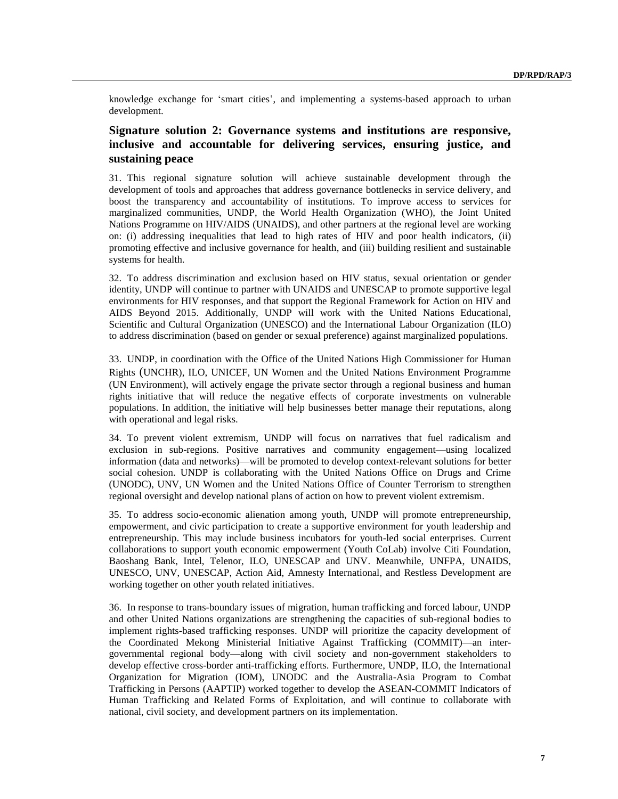knowledge exchange for 'smart cities', and implementing a systems-based approach to urban development.

## **Signature solution 2: Governance systems and institutions are responsive, inclusive and accountable for delivering services, ensuring justice, and sustaining peace**

31. This regional signature solution will achieve sustainable development through the development of tools and approaches that address governance bottlenecks in service delivery, and boost the transparency and accountability of institutions. To improve access to services for marginalized communities, UNDP, the World Health Organization (WHO), the Joint United Nations Programme on HIV/AIDS (UNAIDS), and other partners at the regional level are working on: (i) addressing inequalities that lead to high rates of HIV and poor health indicators, (ii) promoting effective and inclusive governance for health, and (iii) building resilient and sustainable systems for health.

32. To address discrimination and exclusion based on HIV status, sexual orientation or gender identity, UNDP will continue to partner with UNAIDS and UNESCAP to promote supportive legal environments for HIV responses, and that support the Regional Framework for Action on HIV and AIDS Beyond 2015. Additionally, UNDP will work with the United Nations Educational, Scientific and Cultural Organization (UNESCO) and the International Labour Organization (ILO) to address discrimination (based on gender or sexual preference) against marginalized populations.

33. UNDP, in coordination with the Office of the United Nations High Commissioner for Human Rights (UNCHR), ILO, UNICEF, UN Women and the United Nations Environment Programme (UN Environment), will actively engage the private sector through a regional business and human rights initiative that will reduce the negative effects of corporate investments on vulnerable populations. In addition, the initiative will help businesses better manage their reputations, along with operational and legal risks.

34. To prevent violent extremism, UNDP will focus on narratives that fuel radicalism and exclusion in sub-regions. Positive narratives and community engagement—using localized information (data and networks)—will be promoted to develop context-relevant solutions for better social cohesion. UNDP is collaborating with the United Nations Office on Drugs and Crime (UNODC), UNV, UN Women and the United Nations Office of Counter Terrorism to strengthen regional oversight and develop national plans of action on how to prevent violent extremism.

35. To address socio-economic alienation among youth, UNDP will promote entrepreneurship, empowerment, and civic participation to create a supportive environment for youth leadership and entrepreneurship. This may include business incubators for youth-led social enterprises. Current collaborations to support youth economic empowerment (Youth CoLab) involve Citi Foundation, Baoshang Bank, Intel, Telenor, ILO, UNESCAP and UNV. Meanwhile, UNFPA, UNAIDS, UNESCO, UNV, UNESCAP, Action Aid, Amnesty International, and Restless Development are working together on other youth related initiatives.

36. In response to trans-boundary issues of migration, human trafficking and forced labour, UNDP and other United Nations organizations are strengthening the capacities of sub-regional bodies to implement rights-based trafficking responses. UNDP will prioritize the capacity development of the Coordinated Mekong Ministerial Initiative Against Trafficking (COMMIT)—an intergovernmental regional body—along with civil society and non-government stakeholders to develop effective cross-border anti-trafficking efforts. Furthermore, UNDP, ILO, the International Organization for Migration (IOM), UNODC and the Australia-Asia Program to Combat Trafficking in Persons (AAPTIP) worked together to develop the ASEAN-COMMIT Indicators of Human Trafficking and Related Forms of Exploitation, and will continue to collaborate with national, civil society, and development partners on its implementation.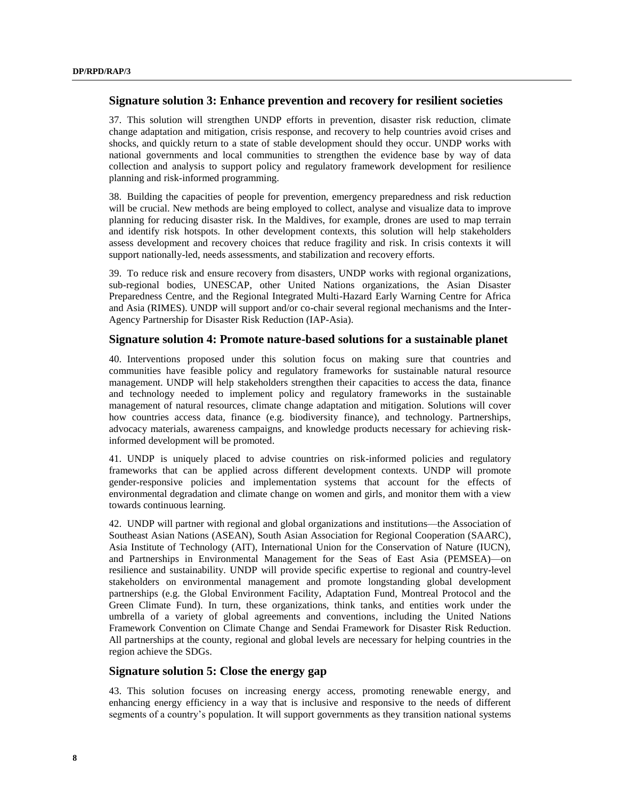#### **Signature solution 3: Enhance prevention and recovery for resilient societies**

37. This solution will strengthen UNDP efforts in prevention, disaster risk reduction, climate change adaptation and mitigation, crisis response, and recovery to help countries avoid crises and shocks, and quickly return to a state of stable development should they occur. UNDP works with national governments and local communities to strengthen the evidence base by way of data collection and analysis to support policy and regulatory framework development for resilience planning and risk-informed programming.

38. Building the capacities of people for prevention, emergency preparedness and risk reduction will be crucial. New methods are being employed to collect, analyse and visualize data to improve planning for reducing disaster risk. In the Maldives, for example, drones are used to map terrain and identify risk hotspots. In other development contexts, this solution will help stakeholders assess development and recovery choices that reduce fragility and risk. In crisis contexts it will support nationally-led, needs assessments, and stabilization and recovery efforts.

39. To reduce risk and ensure recovery from disasters, UNDP works with regional organizations, sub-regional bodies, UNESCAP, other United Nations organizations, the Asian Disaster Preparedness Centre, and the Regional Integrated Multi-Hazard Early Warning Centre for Africa and Asia (RIMES). UNDP will support and/or co-chair several regional mechanisms and the Inter-Agency Partnership for Disaster Risk Reduction (IAP-Asia).

#### **Signature solution 4: Promote nature-based solutions for a sustainable planet**

40. Interventions proposed under this solution focus on making sure that countries and communities have feasible policy and regulatory frameworks for sustainable natural resource management. UNDP will help stakeholders strengthen their capacities to access the data, finance and technology needed to implement policy and regulatory frameworks in the sustainable management of natural resources, climate change adaptation and mitigation. Solutions will cover how countries access data, finance (e.g. biodiversity finance), and technology. Partnerships, advocacy materials, awareness campaigns, and knowledge products necessary for achieving riskinformed development will be promoted.

41. UNDP is uniquely placed to advise countries on risk-informed policies and regulatory frameworks that can be applied across different development contexts. UNDP will promote gender-responsive policies and implementation systems that account for the effects of environmental degradation and climate change on women and girls, and monitor them with a view towards continuous learning.

42. UNDP will partner with regional and global organizations and institutions—the Association of Southeast Asian Nations (ASEAN), South Asian Association for Regional Cooperation (SAARC), Asia Institute of Technology (AIT), International Union for the Conservation of Nature (IUCN), and Partnerships in Environmental Management for the Seas of East Asia (PEMSEA)—on resilience and sustainability. UNDP will provide specific expertise to regional and country-level stakeholders on environmental management and promote longstanding global development partnerships (e.g. the Global Environment Facility, Adaptation Fund, Montreal Protocol and the Green Climate Fund). In turn, these organizations, think tanks, and entities work under the umbrella of a variety of global agreements and conventions, including the United Nations Framework Convention on Climate Change and Sendai Framework for Disaster Risk Reduction. All partnerships at the county, regional and global levels are necessary for helping countries in the region achieve the SDGs.

## **Signature solution 5: Close the energy gap**

43. This solution focuses on increasing energy access, promoting renewable energy, and enhancing energy efficiency in a way that is inclusive and responsive to the needs of different segments of a country's population. It will support governments as they transition national systems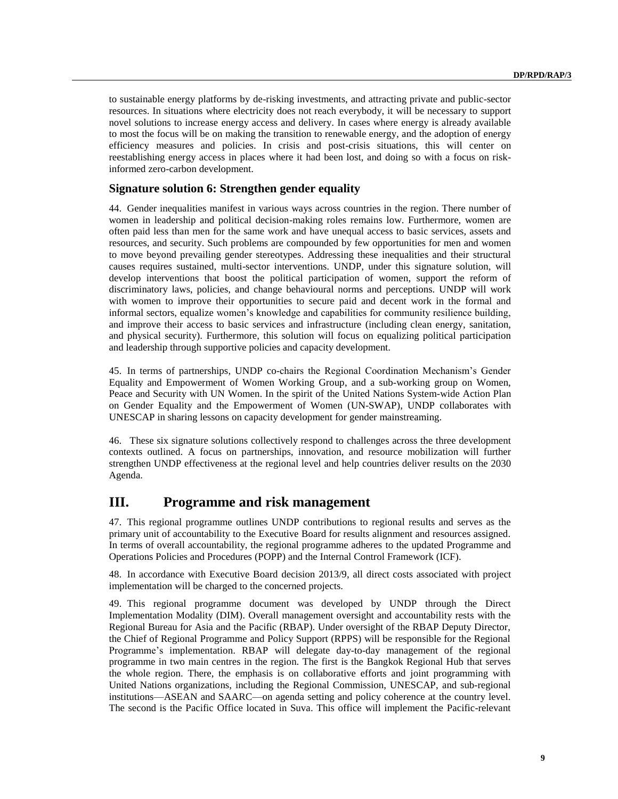to sustainable energy platforms by de-risking investments, and attracting private and public-sector resources. In situations where electricity does not reach everybody, it will be necessary to support novel solutions to increase energy access and delivery. In cases where energy is already available to most the focus will be on making the transition to renewable energy, and the adoption of energy efficiency measures and policies. In crisis and post-crisis situations, this will center on reestablishing energy access in places where it had been lost, and doing so with a focus on riskinformed zero-carbon development.

### **Signature solution 6: Strengthen gender equality**

44. Gender inequalities manifest in various ways across countries in the region. There number of women in leadership and political decision-making roles remains low. Furthermore, women are often paid less than men for the same work and have unequal access to basic services, assets and resources, and security. Such problems are compounded by few opportunities for men and women to move beyond prevailing gender stereotypes. Addressing these inequalities and their structural causes requires sustained, multi-sector interventions. UNDP, under this signature solution, will develop interventions that boost the political participation of women, support the reform of discriminatory laws, policies, and change behavioural norms and perceptions. UNDP will work with women to improve their opportunities to secure paid and decent work in the formal and informal sectors, equalize women's knowledge and capabilities for community resilience building, and improve their access to basic services and infrastructure (including clean energy, sanitation, and physical security). Furthermore, this solution will focus on equalizing political participation and leadership through supportive policies and capacity development.

45. In terms of partnerships, UNDP co-chairs the Regional Coordination Mechanism's Gender Equality and Empowerment of Women Working Group, and a sub-working group on Women, Peace and Security with UN Women. In the spirit of the United Nations System-wide Action Plan on Gender Equality and the Empowerment of Women (UN-SWAP), UNDP collaborates with UNESCAP in sharing lessons on capacity development for gender mainstreaming.

46. These six signature solutions collectively respond to challenges across the three development contexts outlined. A focus on partnerships, innovation, and resource mobilization will further strengthen UNDP effectiveness at the regional level and help countries deliver results on the 2030 Agenda.

# **III. Programme and risk management**

47. This regional programme outlines UNDP contributions to regional results and serves as the primary unit of accountability to the Executive Board for results alignment and resources assigned. In terms of overall accountability, the regional programme adheres to the updated [Programme and](http://www.undp.org/content/undp/en/home/operations/accountability/programme_and_operationspoliciesandprocedures.html)  [Operations Policies and Procedures](http://www.undp.org/content/undp/en/home/operations/accountability/programme_and_operationspoliciesandprocedures.html) (POPP) and the [Internal Control Framework](https://info.undp.org/global/popp/rma/Pages/internal-control-framework.aspx) (ICF).

48. In accordance with Executive Board decision 2013/9, all direct costs associated with project implementation will be charged to the concerned projects.

49. This regional programme document was developed by UNDP through the Direct Implementation Modality (DIM). Overall management oversight and accountability rests with the Regional Bureau for Asia and the Pacific (RBAP). Under oversight of the RBAP Deputy Director, the Chief of Regional Programme and Policy Support (RPPS) will be responsible for the Regional Programme's implementation. RBAP will delegate day-to-day management of the regional programme in two main centres in the region. The first is the Bangkok Regional Hub that serves the whole region. There, the emphasis is on collaborative efforts and joint programming with United Nations organizations, including the Regional Commission, UNESCAP, and sub-regional institutions—ASEAN and SAARC—on agenda setting and policy coherence at the country level. The second is the Pacific Office located in Suva. This office will implement the Pacific-relevant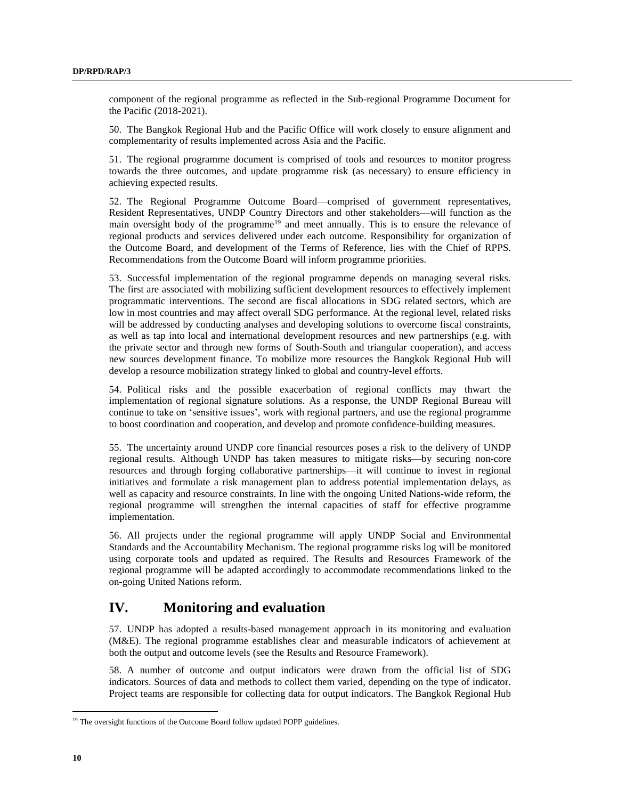component of the regional programme as reflected in the Sub-regional Programme Document for the Pacific (2018-2021).

50. The Bangkok Regional Hub and the Pacific Office will work closely to ensure alignment and complementarity of results implemented across Asia and the Pacific.

51. The regional programme document is comprised of tools and resources to monitor progress towards the three outcomes, and update programme risk (as necessary) to ensure efficiency in achieving expected results.

52. The Regional Programme Outcome Board—comprised of government representatives, Resident Representatives, UNDP Country Directors and other stakeholders—will function as the main oversight body of the programme<sup>19</sup> and meet annually. This is to ensure the relevance of regional products and services delivered under each outcome. Responsibility for organization of the Outcome Board, and development of the Terms of Reference, lies with the Chief of RPPS. Recommendations from the Outcome Board will inform programme priorities.

53. Successful implementation of the regional programme depends on managing several risks. The first are associated with mobilizing sufficient development resources to effectively implement programmatic interventions. The second are fiscal allocations in SDG related sectors, which are low in most countries and may affect overall SDG performance. At the regional level, related risks will be addressed by conducting analyses and developing solutions to overcome fiscal constraints, as well as tap into local and international development resources and new partnerships (e.g. with the private sector and through new forms of South-South and triangular cooperation), and access new sources development finance. To mobilize more resources the Bangkok Regional Hub will develop a resource mobilization strategy linked to global and country-level efforts.

54. Political risks and the possible exacerbation of regional conflicts may thwart the implementation of regional signature solutions. As a response, the UNDP Regional Bureau will continue to take on 'sensitive issues', work with regional partners, and use the regional programme to boost coordination and cooperation, and develop and promote confidence-building measures.

55. The uncertainty around UNDP core financial resources poses a risk to the delivery of UNDP regional results. Although UNDP has taken measures to mitigate risks—by securing non-core resources and through forging collaborative partnerships—it will continue to invest in regional initiatives and formulate a risk management plan to address potential implementation delays, as well as capacity and resource constraints. In line with the ongoing United Nations-wide reform, the regional programme will strengthen the internal capacities of staff for effective programme implementation.

56. All projects under the regional programme will apply UNDP Social and Environmental Standards and the Accountability Mechanism. The regional programme risks log will be monitored using corporate tools and updated as required. The Results and Resources Framework of the regional programme will be adapted accordingly to accommodate recommendations linked to the on-going United Nations reform.

# **IV. Monitoring and evaluation**

57. UNDP has adopted a results-based management approach in its monitoring and evaluation (M&E). The regional programme establishes clear and measurable indicators of achievement at both the output and outcome levels (see the Results and Resource Framework).

58. A number of outcome and output indicators were drawn from the official list of SDG indicators. Sources of data and methods to collect them varied, depending on the type of indicator. Project teams are responsible for collecting data for output indicators. The Bangkok Regional Hub

<sup>&</sup>lt;sup>19</sup> The oversight functions of the Outcome Board follow updated POPP guidelines.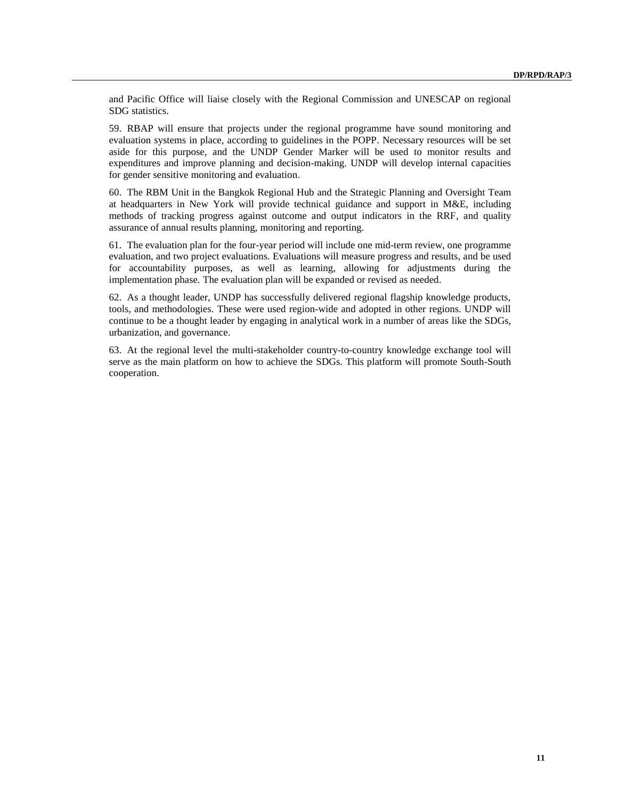and Pacific Office will liaise closely with the Regional Commission and UNESCAP on regional SDG statistics.

59. RBAP will ensure that projects under the regional programme have sound monitoring and evaluation systems in place, according to guidelines in the POPP. Necessary resources will be set aside for this purpose, and the UNDP Gender Marker will be used to monitor results and expenditures and improve planning and decision-making. UNDP will develop internal capacities for gender sensitive monitoring and evaluation.

60. The RBM Unit in the Bangkok Regional Hub and the Strategic Planning and Oversight Team at headquarters in New York will provide technical guidance and support in M&E, including methods of tracking progress against outcome and output indicators in the RRF, and quality assurance of annual results planning, monitoring and reporting.

61. The evaluation plan for the four-year period will include one mid-term review, one programme evaluation, and two project evaluations. Evaluations will measure progress and results, and be used for accountability purposes, as well as learning, allowing for adjustments during the implementation phase. The evaluation plan will be expanded or revised as needed.

62. As a thought leader, UNDP has successfully delivered regional flagship knowledge products, tools, and methodologies. These were used region-wide and adopted in other regions. UNDP will continue to be a thought leader by engaging in analytical work in a number of areas like the SDGs, urbanization, and governance.

63. At the regional level the multi-stakeholder country-to-country knowledge exchange tool will serve as the main platform on how to achieve the SDGs. This platform will promote South-South cooperation.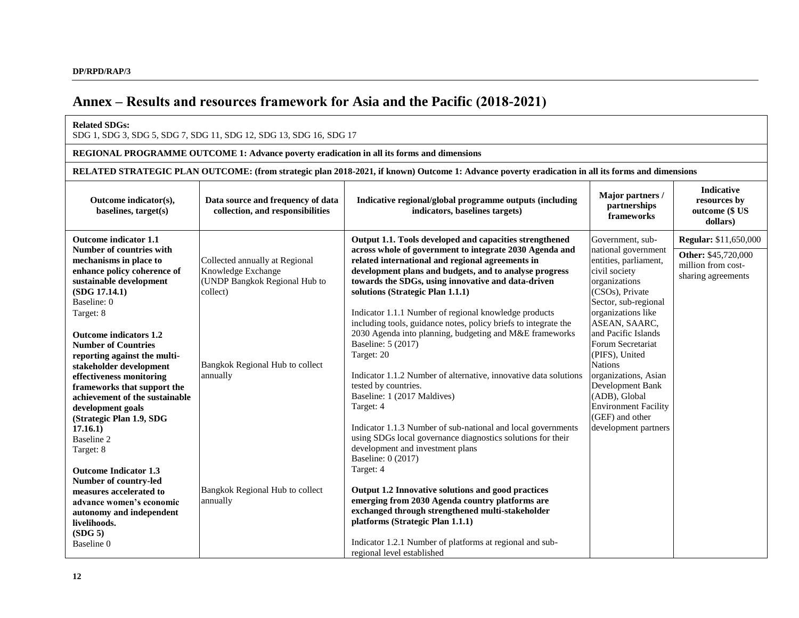# **Annex – Results and resources framework for Asia and the Pacific (2018-2021)**

#### **Related SDGs:**

SDG 1, SDG 3, SDG 5, SDG 7, SDG 11, SDG 12, SDG 13, SDG 16, SDG 17

#### **REGIONAL PROGRAMME OUTCOME 1: Advance poverty eradication in all its forms and dimensions**

**RELATED STRATEGIC PLAN OUTCOME: (from strategic plan 2018-2021, if known) Outcome 1: Advance poverty eradication in all its forms and dimensions**

| Outcome indicator(s),<br>baselines, target(s)                                                                                                                                                                                                                                                                                                                                                                                                                                        | Data source and frequency of data<br>collection, and responsibilities                                                                            | Indicative regional/global programme outputs (including<br>indicators, baselines targets)                                                                                                                                                                                                                                                                                                                                                                                                                                                                                                                                                                                                                                                                                                                                    | Major partners /<br>partnerships<br>frameworks                                                                                                                                                                                                                                                                                                                                                              | <b>Indicative</b><br>resources by<br>outcome (\$ US<br>dollars)                                 |
|--------------------------------------------------------------------------------------------------------------------------------------------------------------------------------------------------------------------------------------------------------------------------------------------------------------------------------------------------------------------------------------------------------------------------------------------------------------------------------------|--------------------------------------------------------------------------------------------------------------------------------------------------|------------------------------------------------------------------------------------------------------------------------------------------------------------------------------------------------------------------------------------------------------------------------------------------------------------------------------------------------------------------------------------------------------------------------------------------------------------------------------------------------------------------------------------------------------------------------------------------------------------------------------------------------------------------------------------------------------------------------------------------------------------------------------------------------------------------------------|-------------------------------------------------------------------------------------------------------------------------------------------------------------------------------------------------------------------------------------------------------------------------------------------------------------------------------------------------------------------------------------------------------------|-------------------------------------------------------------------------------------------------|
| Outcome indicator 1.1<br>Number of countries with<br>mechanisms in place to<br>enhance policy coherence of<br>sustainable development<br>(SDG 17.14.1)<br>Baseline: 0<br>Target: 8<br><b>Outcome indicators 1.2</b><br><b>Number of Countries</b><br>reporting against the multi-<br>stakeholder development<br>effectiveness monitoring<br>frameworks that support the<br>achievement of the sustainable<br>development goals<br>(Strategic Plan 1.9, SDG<br>17.16.1)<br>Baseline 2 | Collected annually at Regional<br>Knowledge Exchange<br>(UNDP Bangkok Regional Hub to<br>collect)<br>Bangkok Regional Hub to collect<br>annually | Output 1.1. Tools developed and capacities strengthened<br>across whole of government to integrate 2030 Agenda and<br>related international and regional agreements in<br>development plans and budgets, and to analyse progress<br>towards the SDGs, using innovative and data-driven<br>solutions (Strategic Plan 1.1.1)<br>Indicator 1.1.1 Number of regional knowledge products<br>including tools, guidance notes, policy briefs to integrate the<br>2030 Agenda into planning, budgeting and M&E frameworks<br>Baseline: 5 (2017)<br>Target: 20<br>Indicator 1.1.2 Number of alternative, innovative data solutions<br>tested by countries.<br>Baseline: 1 (2017 Maldives)<br>Target: 4<br>Indicator 1.1.3 Number of sub-national and local governments<br>using SDGs local governance diagnostics solutions for their | Government, sub-<br>national government<br>entities, parliament,<br>civil society<br>organizations<br>(CSOs), Private<br>Sector, sub-regional<br>organizations like<br>ASEAN, SAARC,<br>and Pacific Islands<br>Forum Secretariat<br>(PIFS), United<br><b>Nations</b><br>organizations, Asian<br>Development Bank<br>(ADB), Global<br><b>Environment Facility</b><br>(GEF) and other<br>development partners | <b>Regular:</b> \$11,650,000<br>Other: \$45,720,000<br>million from cost-<br>sharing agreements |
| Target: 8<br><b>Outcome Indicator 1.3</b><br>Number of country-led<br>measures accelerated to<br>advance women's economic<br>autonomy and independent<br>livelihoods.<br>(SDG <sub>5</sub> )<br>Baseline 0                                                                                                                                                                                                                                                                           | Bangkok Regional Hub to collect<br>annually                                                                                                      | development and investment plans<br>Baseline: 0 (2017)<br>Target: 4<br>Output 1.2 Innovative solutions and good practices<br>emerging from 2030 Agenda country platforms are<br>exchanged through strengthened multi-stakeholder<br>platforms (Strategic Plan 1.1.1)<br>Indicator 1.2.1 Number of platforms at regional and sub-<br>regional level established                                                                                                                                                                                                                                                                                                                                                                                                                                                               |                                                                                                                                                                                                                                                                                                                                                                                                             |                                                                                                 |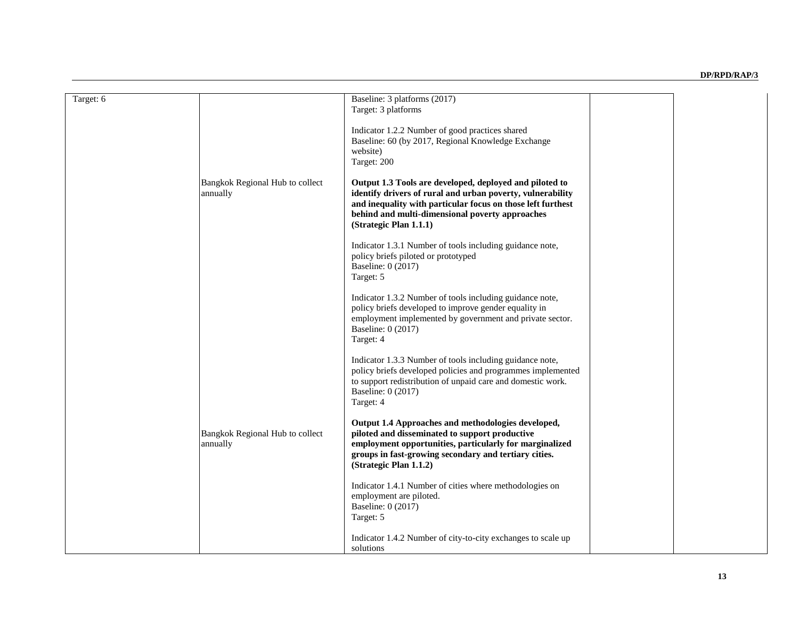| Target: 6 |                                             | Baseline: 3 platforms (2017)<br>Target: 3 platforms                                                                                                                                                                                                               |  |
|-----------|---------------------------------------------|-------------------------------------------------------------------------------------------------------------------------------------------------------------------------------------------------------------------------------------------------------------------|--|
|           |                                             | Indicator 1.2.2 Number of good practices shared<br>Baseline: 60 (by 2017, Regional Knowledge Exchange<br>website)<br>Target: 200                                                                                                                                  |  |
|           | Bangkok Regional Hub to collect<br>annually | Output 1.3 Tools are developed, deployed and piloted to<br>identify drivers of rural and urban poverty, vulnerability<br>and inequality with particular focus on those left furthest<br>behind and multi-dimensional poverty approaches<br>(Strategic Plan 1.1.1) |  |
|           |                                             | Indicator 1.3.1 Number of tools including guidance note,<br>policy briefs piloted or prototyped<br>Baseline: 0 (2017)<br>Target: 5                                                                                                                                |  |
|           |                                             | Indicator 1.3.2 Number of tools including guidance note,<br>policy briefs developed to improve gender equality in<br>employment implemented by government and private sector.<br>Baseline: 0 (2017)<br>Target: 4                                                  |  |
|           |                                             | Indicator 1.3.3 Number of tools including guidance note,<br>policy briefs developed policies and programmes implemented<br>to support redistribution of unpaid care and domestic work.<br>Baseline: 0 (2017)<br>Target: 4                                         |  |
|           | Bangkok Regional Hub to collect<br>annually | Output 1.4 Approaches and methodologies developed,<br>piloted and disseminated to support productive<br>employment opportunities, particularly for marginalized<br>groups in fast-growing secondary and tertiary cities.<br>(Strategic Plan 1.1.2)                |  |
|           |                                             | Indicator 1.4.1 Number of cities where methodologies on<br>employment are piloted.<br>Baseline: 0 (2017)<br>Target: 5                                                                                                                                             |  |
|           |                                             | Indicator 1.4.2 Number of city-to-city exchanges to scale up<br>solutions                                                                                                                                                                                         |  |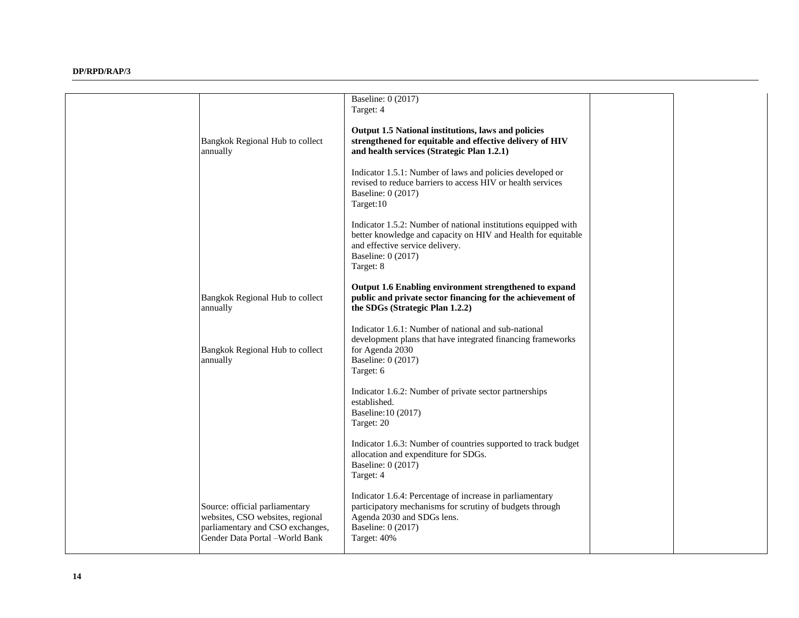|                                                                                                                                          | Baseline: 0 (2017)<br>Target: 4                                                                                                                                                                       |  |
|------------------------------------------------------------------------------------------------------------------------------------------|-------------------------------------------------------------------------------------------------------------------------------------------------------------------------------------------------------|--|
| Bangkok Regional Hub to collect<br>annually                                                                                              | Output 1.5 National institutions, laws and policies<br>strengthened for equitable and effective delivery of HIV<br>and health services (Strategic Plan 1.2.1)                                         |  |
|                                                                                                                                          | Indicator 1.5.1: Number of laws and policies developed or<br>revised to reduce barriers to access HIV or health services<br>Baseline: 0 (2017)<br>Target:10                                           |  |
|                                                                                                                                          | Indicator 1.5.2: Number of national institutions equipped with<br>better knowledge and capacity on HIV and Health for equitable<br>and effective service delivery.<br>Baseline: 0 (2017)<br>Target: 8 |  |
| Bangkok Regional Hub to collect<br>annually                                                                                              | Output 1.6 Enabling environment strengthened to expand<br>public and private sector financing for the achievement of<br>the SDGs (Strategic Plan 1.2.2)                                               |  |
| Bangkok Regional Hub to collect<br>annually                                                                                              | Indicator 1.6.1: Number of national and sub-national<br>development plans that have integrated financing frameworks<br>for Agenda 2030<br><b>Baseline: 0 (2017)</b><br>Target: 6                      |  |
|                                                                                                                                          | Indicator 1.6.2: Number of private sector partnerships<br>established.<br>Baseline: 10 (2017)<br>Target: 20                                                                                           |  |
|                                                                                                                                          | Indicator 1.6.3: Number of countries supported to track budget<br>allocation and expenditure for SDGs.<br>Baseline: 0 (2017)<br>Target: 4                                                             |  |
| Source: official parliamentary<br>websites, CSO websites, regional<br>parliamentary and CSO exchanges,<br>Gender Data Portal -World Bank | Indicator 1.6.4: Percentage of increase in parliamentary<br>participatory mechanisms for scrutiny of budgets through<br>Agenda 2030 and SDGs lens.<br>Baseline: 0 (2017)<br>Target: 40%               |  |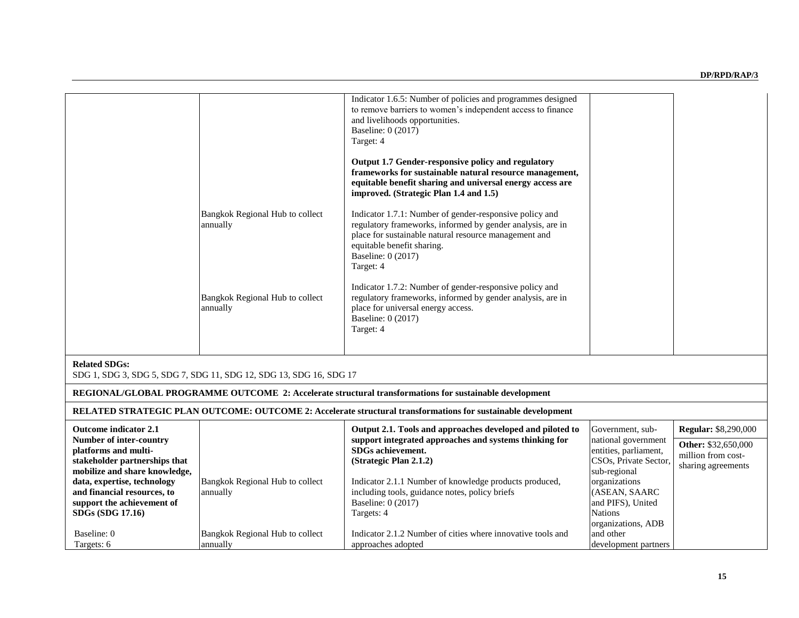|                                                                                                                          | Bangkok Regional Hub to collect<br>annually<br>Bangkok Regional Hub to collect<br>annually | Indicator 1.6.5: Number of policies and programmes designed<br>to remove barriers to women's independent access to finance<br>and livelihoods opportunities.<br>Baseline: 0 (2017)<br>Target: 4<br>Output 1.7 Gender-responsive policy and regulatory<br>frameworks for sustainable natural resource management,<br>equitable benefit sharing and universal energy access are<br>improved. (Strategic Plan 1.4 and 1.5)<br>Indicator 1.7.1: Number of gender-responsive policy and<br>regulatory frameworks, informed by gender analysis, are in<br>place for sustainable natural resource management and<br>equitable benefit sharing.<br>Baseline: 0 (2017)<br>Target: 4<br>Indicator 1.7.2: Number of gender-responsive policy and<br>regulatory frameworks, informed by gender analysis, are in<br>place for universal energy access.<br>Baseline: 0 (2017)<br>Target: 4 |                                                                                       |                                                                        |
|--------------------------------------------------------------------------------------------------------------------------|--------------------------------------------------------------------------------------------|------------------------------------------------------------------------------------------------------------------------------------------------------------------------------------------------------------------------------------------------------------------------------------------------------------------------------------------------------------------------------------------------------------------------------------------------------------------------------------------------------------------------------------------------------------------------------------------------------------------------------------------------------------------------------------------------------------------------------------------------------------------------------------------------------------------------------------------------------------------------------|---------------------------------------------------------------------------------------|------------------------------------------------------------------------|
|                                                                                                                          |                                                                                            |                                                                                                                                                                                                                                                                                                                                                                                                                                                                                                                                                                                                                                                                                                                                                                                                                                                                              |                                                                                       |                                                                        |
| <b>Related SDGs:</b>                                                                                                     | SDG 1, SDG 3, SDG 5, SDG 7, SDG 11, SDG 12, SDG 13, SDG 16, SDG 17                         |                                                                                                                                                                                                                                                                                                                                                                                                                                                                                                                                                                                                                                                                                                                                                                                                                                                                              |                                                                                       |                                                                        |
|                                                                                                                          |                                                                                            | REGIONAL/GLOBAL PROGRAMME OUTCOME 2: Accelerate structural transformations for sustainable development                                                                                                                                                                                                                                                                                                                                                                                                                                                                                                                                                                                                                                                                                                                                                                       |                                                                                       |                                                                        |
|                                                                                                                          |                                                                                            | RELATED STRATEGIC PLAN OUTCOME: OUTCOME 2: Accelerate structural transformations for sustainable development                                                                                                                                                                                                                                                                                                                                                                                                                                                                                                                                                                                                                                                                                                                                                                 |                                                                                       |                                                                        |
| <b>Outcome indicator 2.1</b>                                                                                             |                                                                                            | Output 2.1. Tools and approaches developed and piloted to                                                                                                                                                                                                                                                                                                                                                                                                                                                                                                                                                                                                                                                                                                                                                                                                                    | Government, sub-                                                                      | <b>Regular: \$8,290,000</b>                                            |
| <b>Number of inter-country</b><br>platforms and multi-<br>stakeholder partnerships that<br>mobilize and share knowledge, |                                                                                            | support integrated approaches and systems thinking for<br>SDGs achievement.<br>(Strategic Plan 2.1.2)                                                                                                                                                                                                                                                                                                                                                                                                                                                                                                                                                                                                                                                                                                                                                                        | national government<br>entities, parliament,<br>CSOs, Private Sector,<br>sub-regional | <b>Other: \$32,650,000</b><br>million from cost-<br>sharing agreements |
| data, expertise, technology<br>and financial resources, to                                                               | Bangkok Regional Hub to collect<br>annually                                                | Indicator 2.1.1 Number of knowledge products produced,<br>including tools, guidance notes, policy briefs                                                                                                                                                                                                                                                                                                                                                                                                                                                                                                                                                                                                                                                                                                                                                                     | organizations<br>(ASEAN, SAARC                                                        |                                                                        |

**Baseline:** 0 (2017) Targets: 4

approaches adopted

Indicator 2.1.2 Number of cities where innovative tools and

**support the achievement of SDGs (SDG 17.16)**

Bangkok Regional Hub to collect

annually

Baseline: 0 Targets: 6

and PIFS), United

organizations, ADB

development partners

Nations

and other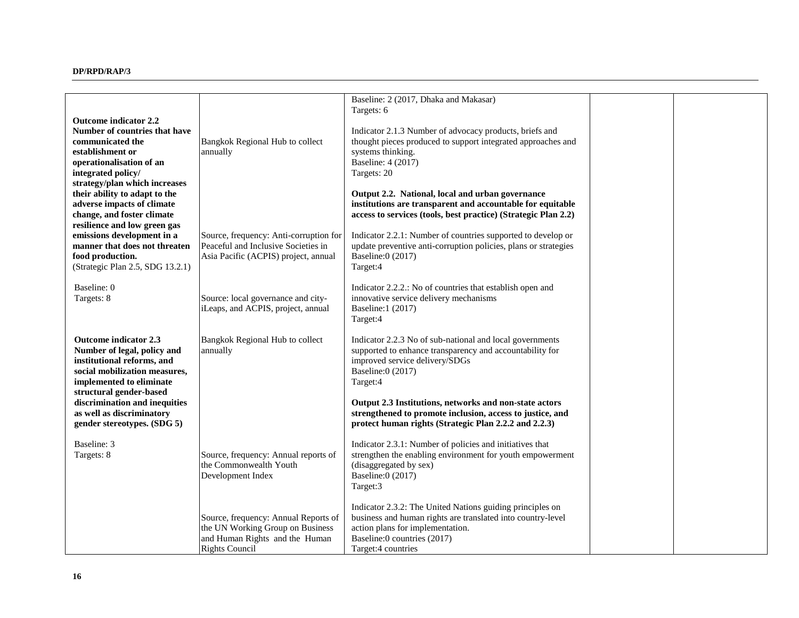| <b>Outcome indicator 2.2</b><br>Number of countries that have<br>communicated the<br>establishment or<br>operationalisation of an<br>integrated policy/<br>strategy/plan which increases<br>their ability to adapt to the<br>adverse impacts of climate<br>change, and foster climate | Bangkok Regional Hub to collect<br>annually                                                                                         | Baseline: 2 (2017, Dhaka and Makasar)<br>Targets: 6<br>Indicator 2.1.3 Number of advocacy products, briefs and<br>thought pieces produced to support integrated approaches and<br>systems thinking.<br>Baseline: 4 (2017)<br>Targets: 20<br>Output 2.2. National, local and urban governance<br>institutions are transparent and accountable for equitable<br>access to services (tools, best practice) (Strategic Plan 2.2) |  |
|---------------------------------------------------------------------------------------------------------------------------------------------------------------------------------------------------------------------------------------------------------------------------------------|-------------------------------------------------------------------------------------------------------------------------------------|------------------------------------------------------------------------------------------------------------------------------------------------------------------------------------------------------------------------------------------------------------------------------------------------------------------------------------------------------------------------------------------------------------------------------|--|
| resilience and low green gas<br>emissions development in a<br>manner that does not threaten<br>food production.<br>(Strategic Plan 2.5, SDG 13.2.1)                                                                                                                                   | Source, frequency: Anti-corruption for<br>Peaceful and Inclusive Societies in<br>Asia Pacific (ACPIS) project, annual               | Indicator 2.2.1: Number of countries supported to develop or<br>update preventive anti-corruption policies, plans or strategies<br>Baseline:0 (2017)<br>Target:4                                                                                                                                                                                                                                                             |  |
| Baseline: 0<br>Targets: 8                                                                                                                                                                                                                                                             | Source: local governance and city-<br>iLeaps, and ACPIS, project, annual                                                            | Indicator 2.2.2.: No of countries that establish open and<br>innovative service delivery mechanisms<br>Baseline:1 (2017)<br>Target:4                                                                                                                                                                                                                                                                                         |  |
| <b>Outcome indicator 2.3</b><br>Number of legal, policy and<br>institutional reforms, and<br>social mobilization measures,<br>implemented to eliminate<br>structural gender-based<br>discrimination and inequities<br>as well as discriminatory<br>gender stereotypes. (SDG 5)        | Bangkok Regional Hub to collect<br>annually                                                                                         | Indicator 2.2.3 No of sub-national and local governments<br>supported to enhance transparency and accountability for<br>improved service delivery/SDGs<br>Baseline:0 (2017)<br>Target:4<br>Output 2.3 Institutions, networks and non-state actors<br>strengthened to promote inclusion, access to justice, and<br>protect human rights (Strategic Plan 2.2.2 and 2.2.3)                                                      |  |
| Baseline: 3<br>Targets: 8                                                                                                                                                                                                                                                             | Source, frequency: Annual reports of<br>the Commonwealth Youth<br>Development Index                                                 | Indicator 2.3.1: Number of policies and initiatives that<br>strengthen the enabling environment for youth empowerment<br>(disaggregated by sex)<br>Baseline:0 (2017)<br>Target:3                                                                                                                                                                                                                                             |  |
|                                                                                                                                                                                                                                                                                       | Source, frequency: Annual Reports of<br>the UN Working Group on Business<br>and Human Rights and the Human<br><b>Rights Council</b> | Indicator 2.3.2: The United Nations guiding principles on<br>business and human rights are translated into country-level<br>action plans for implementation.<br>Baseline:0 countries (2017)<br>Target:4 countries                                                                                                                                                                                                            |  |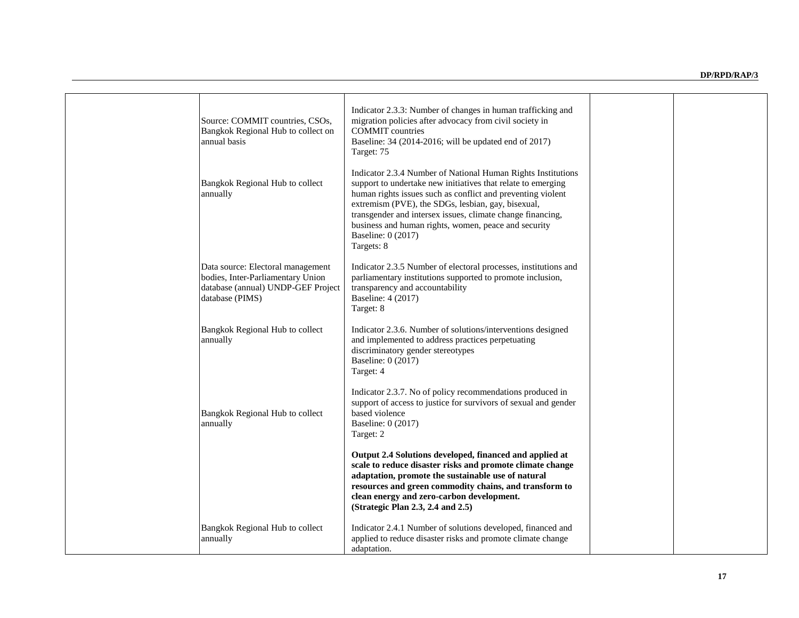| Source: COMMIT countries, CSOs,<br>Bangkok Regional Hub to collect on<br>annual basis                                           | Indicator 2.3.3: Number of changes in human trafficking and<br>migration policies after advocacy from civil society in<br><b>COMMIT</b> countries<br>Baseline: 34 (2014-2016; will be updated end of 2017)<br>Target: 75                                                                                                                                                                                    |  |
|---------------------------------------------------------------------------------------------------------------------------------|-------------------------------------------------------------------------------------------------------------------------------------------------------------------------------------------------------------------------------------------------------------------------------------------------------------------------------------------------------------------------------------------------------------|--|
| Bangkok Regional Hub to collect<br>annually                                                                                     | Indicator 2.3.4 Number of National Human Rights Institutions<br>support to undertake new initiatives that relate to emerging<br>human rights issues such as conflict and preventing violent<br>extremism (PVE), the SDGs, lesbian, gay, bisexual,<br>transgender and intersex issues, climate change financing,<br>business and human rights, women, peace and security<br>Baseline: 0 (2017)<br>Targets: 8 |  |
| Data source: Electoral management<br>bodies, Inter-Parliamentary Union<br>database (annual) UNDP-GEF Project<br>database (PIMS) | Indicator 2.3.5 Number of electoral processes, institutions and<br>parliamentary institutions supported to promote inclusion,<br>transparency and accountability<br>Baseline: 4 (2017)<br>Target: 8                                                                                                                                                                                                         |  |
| Bangkok Regional Hub to collect<br>annually                                                                                     | Indicator 2.3.6. Number of solutions/interventions designed<br>and implemented to address practices perpetuating<br>discriminatory gender stereotypes<br>Baseline: 0 (2017)<br>Target: 4                                                                                                                                                                                                                    |  |
| Bangkok Regional Hub to collect<br>annually                                                                                     | Indicator 2.3.7. No of policy recommendations produced in<br>support of access to justice for survivors of sexual and gender<br>based violence<br>Baseline: 0 (2017)<br>Target: 2                                                                                                                                                                                                                           |  |
|                                                                                                                                 | Output 2.4 Solutions developed, financed and applied at<br>scale to reduce disaster risks and promote climate change<br>adaptation, promote the sustainable use of natural<br>resources and green commodity chains, and transform to<br>clean energy and zero-carbon development.<br>(Strategic Plan $2.3$ , $2.4$ and $2.5$ )                                                                              |  |
| Bangkok Regional Hub to collect<br>annually                                                                                     | Indicator 2.4.1 Number of solutions developed, financed and<br>applied to reduce disaster risks and promote climate change<br>adaptation.                                                                                                                                                                                                                                                                   |  |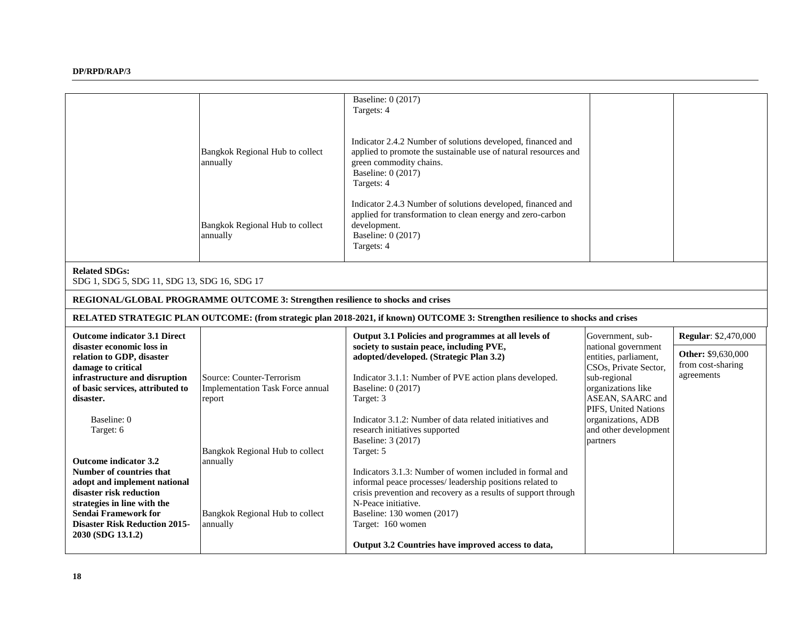|                                                                      |                                                                                 | Baseline: 0 (2017)<br>Targets: 4                                                                                                                                                              |                                                |                             |
|----------------------------------------------------------------------|---------------------------------------------------------------------------------|-----------------------------------------------------------------------------------------------------------------------------------------------------------------------------------------------|------------------------------------------------|-----------------------------|
|                                                                      |                                                                                 |                                                                                                                                                                                               |                                                |                             |
|                                                                      | Bangkok Regional Hub to collect<br>annually                                     | Indicator 2.4.2 Number of solutions developed, financed and<br>applied to promote the sustainable use of natural resources and<br>green commodity chains.<br>Baseline: 0 (2017)<br>Targets: 4 |                                                |                             |
|                                                                      | Bangkok Regional Hub to collect<br>annually                                     | Indicator 2.4.3 Number of solutions developed, financed and<br>applied for transformation to clean energy and zero-carbon<br>development.<br>Baseline: 0 (2017)<br>Targets: 4                 |                                                |                             |
| <b>Related SDGs:</b><br>SDG 1, SDG 5, SDG 11, SDG 13, SDG 16, SDG 17 |                                                                                 |                                                                                                                                                                                               |                                                |                             |
|                                                                      | REGIONAL/GLOBAL PROGRAMME OUTCOME 3: Strengthen resilience to shocks and crises |                                                                                                                                                                                               |                                                |                             |
|                                                                      |                                                                                 |                                                                                                                                                                                               |                                                |                             |
|                                                                      |                                                                                 | RELATED STRATEGIC PLAN OUTCOME: (from strategic plan 2018-2021, if known) OUTCOME 3: Strengthen resilience to shocks and crises                                                               |                                                |                             |
| <b>Outcome indicator 3.1 Direct</b>                                  |                                                                                 | Output 3.1 Policies and programmes at all levels of                                                                                                                                           | Government, sub-                               | <b>Regular: \$2,470,000</b> |
| disaster economic loss in                                            |                                                                                 | society to sustain peace, including PVE,                                                                                                                                                      | national government                            | Other: \$9,630,000          |
| relation to GDP, disaster<br>damage to critical                      |                                                                                 | adopted/developed. (Strategic Plan 3.2)                                                                                                                                                       | entities, parliament,<br>CSOs, Private Sector, | from cost-sharing           |
| infrastructure and disruption                                        | Source: Counter-Terrorism                                                       | Indicator 3.1.1: Number of PVE action plans developed.                                                                                                                                        | sub-regional                                   | agreements                  |
| of basic services, attributed to<br>disaster.                        | Implementation Task Force annual<br>report                                      | Baseline: 0 (2017)<br>Target: 3                                                                                                                                                               | organizations like<br>ASEAN, SAARC and         |                             |
| Baseline: 0                                                          |                                                                                 | Indicator 3.1.2: Number of data related initiatives and                                                                                                                                       | PIFS, United Nations<br>organizations, ADB     |                             |
| Target: 6                                                            |                                                                                 | research initiatives supported                                                                                                                                                                | and other development                          |                             |
|                                                                      | Bangkok Regional Hub to collect                                                 | Baseline: 3 (2017)<br>Target: 5                                                                                                                                                               | partners                                       |                             |
| <b>Outcome indicator 3.2</b>                                         | annually                                                                        |                                                                                                                                                                                               |                                                |                             |
| Number of countries that<br>adopt and implement national             |                                                                                 | Indicators 3.1.3: Number of women included in formal and<br>informal peace processes/ leadership positions related to                                                                         |                                                |                             |
| disaster risk reduction                                              |                                                                                 | crisis prevention and recovery as a results of support through                                                                                                                                |                                                |                             |
| strategies in line with the<br><b>Sendai Framework for</b>           | Bangkok Regional Hub to collect                                                 | N-Peace initiative.<br>Baseline: 130 women (2017)                                                                                                                                             |                                                |                             |
| <b>Disaster Risk Reduction 2015-</b><br>2030 (SDG 13.1.2)            | annually                                                                        | Target: 160 women                                                                                                                                                                             |                                                |                             |